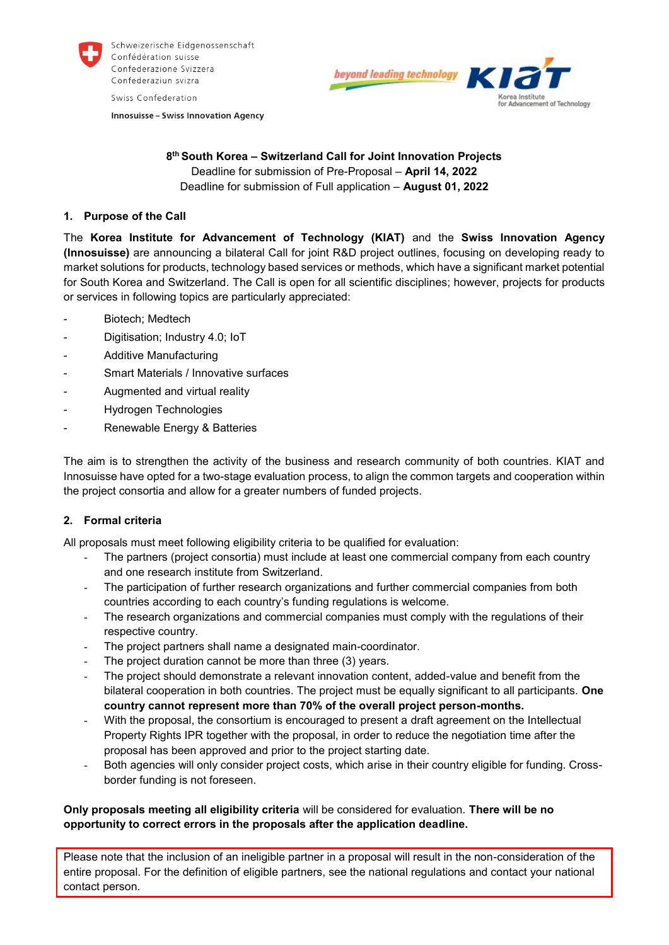

Schweizerische Eidgenossenschaft Confédération suisse Confederazione Svizzera Confederaziun svizra

Swiss Confederation

**Innosuisse - Swiss Innovation Agency** 



## **8 th South Korea – Switzerland Call for Joint Innovation Projects** Deadline for submission of Pre-Proposal – **April 14, 2022** Deadline for submission of Full application – **August 01, 2022**

# **1. Purpose of the Call**

The **Korea Institute for Advancement of Technology (KIAT)** and the **Swiss Innovation Agency (Innosuisse)** are announcing a bilateral Call for joint R&D project outlines, focusing on developing ready to market solutions for products, technology based services or methods, which have a significant market potential for South Korea and Switzerland. The Call is open for all scientific disciplines; however, projects for products or services in following topics are particularly appreciated:

- Biotech: Medtech
- Digitisation; Industry 4.0; IoT
- Additive Manufacturing
- Smart Materials / Innovative surfaces
- Augmented and virtual reality
- Hydrogen Technologies
- Renewable Energy & Batteries

The aim is to strengthen the activity of the business and research community of both countries. KIAT and Innosuisse have opted for a two-stage evaluation process, to align the common targets and cooperation within the project consortia and allow for a greater numbers of funded projects.

# **2. Formal criteria**

All proposals must meet following eligibility criteria to be qualified for evaluation:

- The partners (project consortia) must include at least one commercial company from each country and one research institute from Switzerland.
- The participation of further research organizations and further commercial companies from both countries according to each country's funding regulations is welcome.
- The research organizations and commercial companies must comply with the regulations of their respective country.
- The project partners shall name a designated main-coordinator.
- The project duration cannot be more than three (3) years.
- The project should demonstrate a relevant innovation content, added-value and benefit from the bilateral cooperation in both countries. The project must be equally significant to all participants. **One country cannot represent more than 70% of the overall project person-months.**
- With the proposal, the consortium is encouraged to present a draft agreement on the Intellectual Property Rights IPR together with the proposal, in order to reduce the negotiation time after the proposal has been approved and prior to the project starting date.
- Both agencies will only consider project costs, which arise in their country eligible for funding. Crossborder funding is not foreseen.

# **Only proposals meeting all eligibility criteria** will be considered for evaluation. **There will be no opportunity to correct errors in the proposals after the application deadline.**

Please note that the inclusion of an ineligible partner in a proposal will result in the non-consideration of the entire proposal. For the definition of eligible partners, see the national regulations and contact your national contact person.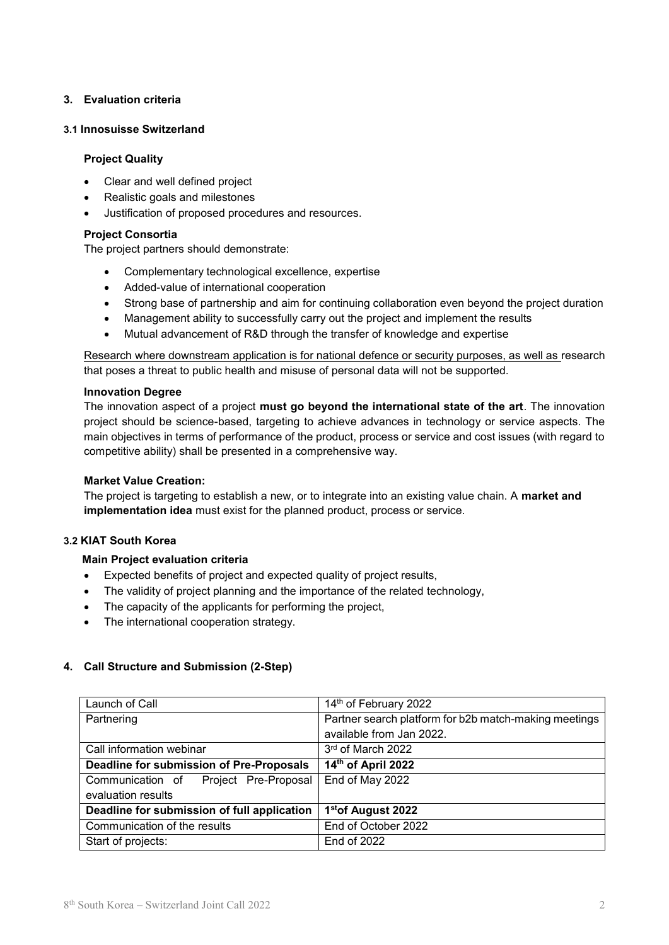# **3. Evaluation criteria**

## **3.1 Innosuisse Switzerland**

#### **Project Quality**

- Clear and well defined project
- Realistic goals and milestones
- Justification of proposed procedures and resources.

#### **Project Consortia**

The project partners should demonstrate:

- Complementary technological excellence, expertise
- Added-value of international cooperation
- Strong base of partnership and aim for continuing collaboration even beyond the project duration
- Management ability to successfully carry out the project and implement the results
- Mutual advancement of R&D through the transfer of knowledge and expertise

Research where downstream application is for national defence or security purposes, as well as research that poses a threat to public health and misuse of personal data will not be supported.

#### **Innovation Degree**

The innovation aspect of a project **must go beyond the international state of the art**. The innovation project should be science-based, targeting to achieve advances in technology or service aspects. The main objectives in terms of performance of the product, process or service and cost issues (with regard to [competitive](https://dict.leo.org/englisch-deutsch/competitive) [ability\)](https://dict.leo.org/englisch-deutsch/ability) shall be presented in a comprehensive way.

#### **Market Value Creation:**

The project is targeting to establish a new, or to integrate into an existing value chain. A **market and implementation idea** must exist for the planned product, process or service.

### **3.2 KIAT South Korea**

#### **Main Project evaluation criteria**

- Expected benefits of project and expected quality of project results,
- The validity of project planning and the importance of the related technology,
- The capacity of the applicants for performing the project,
- The international cooperation strategy.

## **4. Call Structure and Submission (2-Step)**

| Launch of Call                              | 14th of February 2022                                 |
|---------------------------------------------|-------------------------------------------------------|
| Partnering                                  | Partner search platform for b2b match-making meetings |
|                                             | available from Jan 2022.                              |
| Call information webinar                    | 3rd of March 2022                                     |
| Deadline for submission of Pre-Proposals    | 14th of April 2022                                    |
| Communication of Project Pre-Proposal       | End of May 2022                                       |
| evaluation results                          |                                                       |
| Deadline for submission of full application | 1 <sup>st</sup> of August 2022                        |
| Communication of the results                | End of October 2022                                   |
| Start of projects:                          | End of 2022                                           |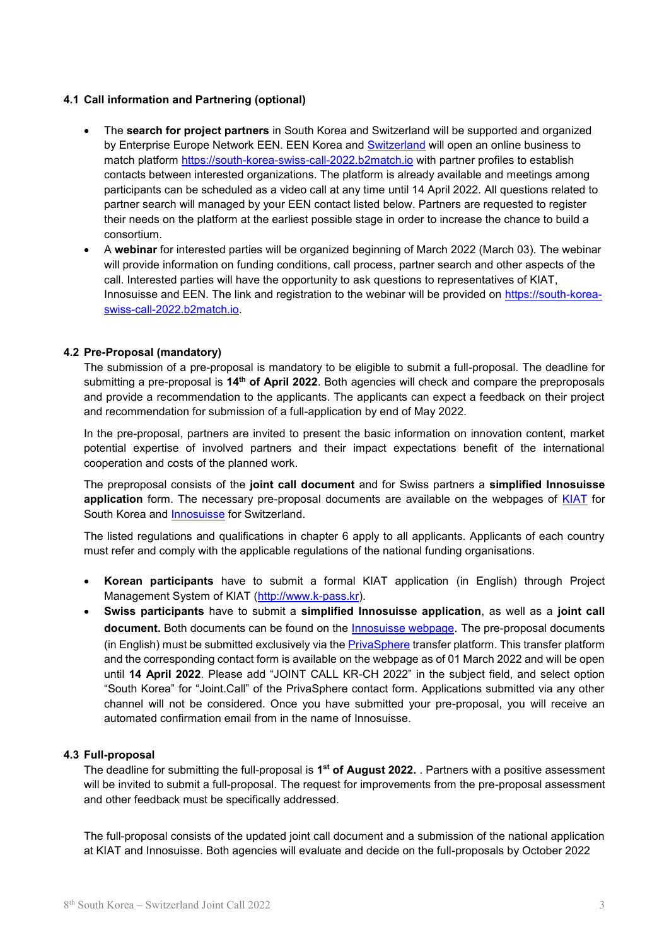### **4.1 Call information and Partnering (optional)**

- The **search for project partners** in South Korea and Switzerland will be supported and organized by Enterprise Europe Network EEN. EEN Korea and [Switzerland](https://www.innosuisse.ch/inno/en/home/go-global/een.html) will open an online business to match platform [https://south-korea-swiss-call-2022.b2match.io](https://south-korea-swiss-call-2022.b2match.io/) with partner profiles to establish contacts between interested organizations. The platform is already available and meetings among participants can be scheduled as a video call at any time until 14 April 2022. All questions related to partner search will managed by your EEN contact listed below. Partners are requested to register their needs on the platform at the earliest possible stage in order to increase the chance to build a consortium.
- A **webinar** for interested parties will be organized beginning of March 2022 (March 03). The webinar will provide information on funding conditions, call process, partner search and other aspects of the call. Interested parties will have the opportunity to ask questions to representatives of KIAT, Innosuisse and EEN. The link and registration to the webinar will be provided on [https://south-korea](https://south-korea-swiss-call-2022.b2match.io/)[swiss-call-2022.b2match.io.](https://south-korea-swiss-call-2022.b2match.io/)

## **4.2 Pre-Proposal (mandatory)**

The submission of a pre-proposal is mandatory to be eligible to submit a full-proposal. The deadline for submitting a pre-proposal is **14th of April 2022**. Both agencies will check and compare the preproposals and provide a recommendation to the applicants. The applicants can expect a feedback on their project and recommendation for submission of a full-application by end of May 2022.

In the pre-proposal, partners are invited to present the basic information on innovation content, market potential expertise of involved partners and their impact expectations benefit of the international cooperation and costs of the planned work.

The preproposal consists of the **joint call document** and for Swiss partners a **simplified Innosuisse application** form. The necessary pre-proposal documents are available on the webpages of [KIAT](https://www.kiat.or.kr/) for South Korea and [Innosuisse](https://www.innosuisse.ch/inno/en/home/go-global/bilateral-cooperation/international-projects-with-south-korea.html) for Switzerland.

The listed regulations and qualifications in chapter 6 apply to all applicants. Applicants of each country must refer and comply with the applicable regulations of the national funding organisations.

- **Korean participants** have to submit a formal KIAT application (in English) through Project Management System of KIAT [\(http://www.k-pass.kr\)](http://www.k-pass.kr/).
- **Swiss participants** have to submit a **simplified Innosuisse application**, as well as a **joint call document.** Both documents can be found on the [Innosuisse webpage](https://www.innosuisse.ch/inno/en/home/go-global/bilateral-cooperation/international-projects-with-south-korea.html). The pre-proposal documents (in English) must be submitted exclusively via the [PrivaSphere](https://www.privasphere.com/innosuisse-project-form?IFRAME=innosuisse&c=generic&lang=en) transfer platform. This transfer platform and the corresponding contact form is available on the webpage as of 01 March 2022 and will be open until **14 April 2022**. Please add "JOINT CALL KR-CH 2022" in the subject field, and select option "South Korea" for "Joint.Call" of the PrivaSphere contact form. Applications submitted via any other channel will not be considered. Once you have submitted your pre-proposal, you will receive an automated confirmation email from in the name of Innosuisse.

#### **4.3 Full-proposal**

The deadline for submitting the full-proposal is **1 st of August 2022.** . Partners with a positive assessment will be invited to submit a full-proposal. The request for improvements from the pre-proposal assessment and other feedback must be specifically addressed.

The full-proposal consists of the updated joint call document and a submission of the national application at KIAT and Innosuisse. Both agencies will evaluate and decide on the full-proposals by October 2022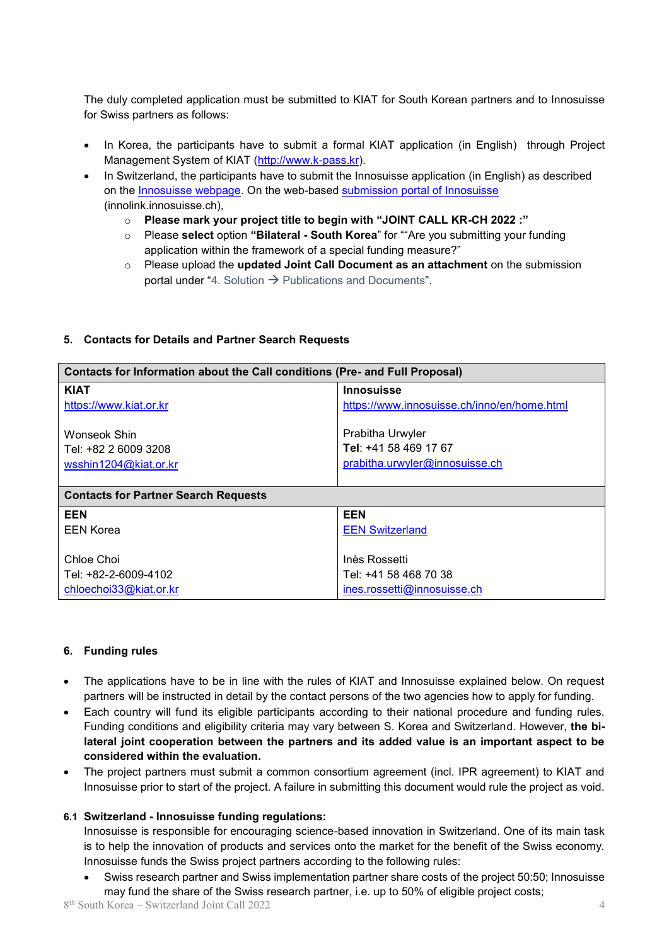The duly completed application must be submitted to KIAT for South Korean partners and to Innosuisse for Swiss partners as follows:

- In Korea, the participants have to submit a formal KIAT application (in English) through Project Management System of KIAT [\(http://www.k-pass.kr\)](http://www.k-pass.kr/).
- In Switzerland, the participants have to submit the Innosuisse application (in English) as described on the [Innosuisse](https://www.innosuisse.ch/inno/en/home/platforms/application-platform.html) webpage. On the web-based [submission portal of Innosuisse](https://innolink.innosuisse.ch/) (innolink.innosuisse.ch),
	- o **Please mark your project title to begin with "JOINT CALL KR-CH 2022 :"**
	- o Please **select** option **"Bilateral - South Korea**" for ""Are you submitting your funding application within the framework of a special funding measure?"
	- o Please upload the **updated Joint Call Document as an attachment** on the submission portal under "4. Solution  $\rightarrow$  Publications and Documents".

## **5. Contacts for Details and Partner Search Requests**

| <b>Contacts for Information about the Call conditions (Pre- and Full Proposal)</b> |                                                                             |  |
|------------------------------------------------------------------------------------|-----------------------------------------------------------------------------|--|
| <b>KIAT</b>                                                                        | <b>Innosuisse</b>                                                           |  |
| https://www.kiat.or.kr                                                             | https://www.innosuisse.ch/inno/en/home.html                                 |  |
| Wonseok Shin<br>Tel: +82 2 6009 3208<br>wsshin1204@kiat.or.kr                      | Prabitha Urwyler<br>Tel: +41 58 469 17 67<br>prabitha.urwyler@innosuisse.ch |  |
| <b>Contacts for Partner Search Requests</b>                                        |                                                                             |  |
| <b>EEN</b>                                                                         | <b>EEN</b>                                                                  |  |
| <b>EEN Korea</b>                                                                   | <b>EEN Switzerland</b>                                                      |  |
|                                                                                    |                                                                             |  |
| Chloe Choi                                                                         | Inès Rossetti                                                               |  |
| Tel: +82-2-6009-4102                                                               | Tel: +41 58 468 70 38                                                       |  |
| chloechoi33@kiat.or.kr                                                             | ines.rossetti@innosuisse.ch                                                 |  |

## **6. Funding rules**

- The applications have to be in line with the rules of KIAT and Innosuisse explained below. On request partners will be instructed in detail by the contact persons of the two agencies how to apply for funding.
- Each country will fund its eligible participants according to their national procedure and funding rules. Funding conditions and eligibility criteria may vary between S. Korea and Switzerland. However, **the bilateral joint cooperation between the partners and its added value is an important aspect to be considered within the evaluation.**
- The project partners must submit a common consortium agreement (incl. IPR agreement) to KIAT and Innosuisse prior to start of the project. A failure in submitting this document would rule the project as void.

# **6.1 Switzerland - Innosuisse funding regulations:**

Innosuisse is responsible for encouraging science-based innovation in Switzerland. One of its main task is to help the innovation of products and services onto the market for the benefit of the Swiss economy. Innosuisse funds the Swiss project partners according to the following rules:

 Swiss research partner and Swiss implementation partner share costs of the project 50:50; Innosuisse may fund the share of the Swiss research partner, i.e. up to 50% of eligible project costs;